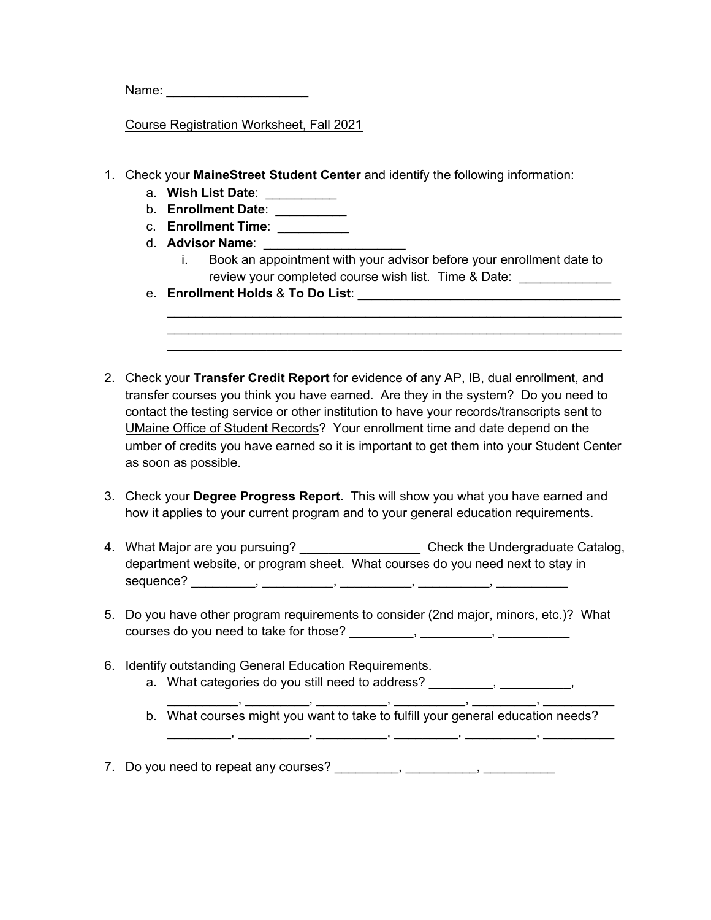Name:  $\blacksquare$ 

Course Registration Worksheet, Fall 2021

- 1. Check your **MaineStreet Student Center** and identify the following information:
	- a. **Wish List Date**: \_\_\_\_\_\_\_\_\_\_
	- b. **Enrollment Date**: \_\_\_\_\_\_\_\_\_\_
	- c. **Enrollment Time**: \_\_\_\_\_\_\_\_\_\_
	- d. Advisor Name:
		- i. Book an appointment with your advisor before your enrollment date to review your completed course wish list. Time & Date:

\_\_\_\_\_\_\_\_\_\_\_\_\_\_\_\_\_\_\_\_\_\_\_\_\_\_\_\_\_\_\_\_\_\_\_\_\_\_\_\_\_\_\_\_\_\_\_\_\_\_\_\_\_\_\_\_\_\_\_\_\_\_\_\_ \_\_\_\_\_\_\_\_\_\_\_\_\_\_\_\_\_\_\_\_\_\_\_\_\_\_\_\_\_\_\_\_\_\_\_\_\_\_\_\_\_\_\_\_\_\_\_\_\_\_\_\_\_\_\_\_\_\_\_\_\_\_\_\_ \_\_\_\_\_\_\_\_\_\_\_\_\_\_\_\_\_\_\_\_\_\_\_\_\_\_\_\_\_\_\_\_\_\_\_\_\_\_\_\_\_\_\_\_\_\_\_\_\_\_\_\_\_\_\_\_\_\_\_\_\_\_\_\_

- e. **Enrollment Holds** & **To Do List**: \_\_\_\_\_\_\_\_\_\_\_\_\_\_\_\_\_\_\_\_\_\_\_\_\_\_\_\_\_\_\_\_\_\_\_\_\_
- 2. Check your **Transfer Credit Report** for evidence of any AP, IB, dual enrollment, and transfer courses you think you have earned. Are they in the system? Do you need to contact the testing service or other institution to have your records/transcripts sent to UMaine Office of Student Records? Your enrollment time and date depend on the umber of credits you have earned so it is important to get them into your Student Center as soon as possible.
- 3. Check \our **Degree Progress Report**. This will show \ou what \ou have earned and how it applies to your current program and to your general education requirements.
- 4. What Major are you pursuing? \_\_\_\_\_\_\_\_\_\_\_\_\_\_\_\_\_\_\_\_\_\_\_\_\_ Check the Undergraduate Catalog, department website, or program sheet. What courses do you need next to stay in sequence?  $\blacksquare$ ,  $\blacksquare$ ,  $\blacksquare$ ,  $\blacksquare$ ,  $\blacksquare$ ,  $\blacksquare$ ,  $\blacksquare$ ,  $\blacksquare$ ,  $\blacksquare$
- 5. Do you have other program requirements to consider (2nd major, minors, etc.)? What courses do you need to take for those?  $\frac{1}{2}$  \_\_\_\_\_\_\_\_\_, \_\_\_\_\_\_\_\_, \_\_\_\_\_\_\_\_\_,
- 6. Identify outstanding General Education Requirements.
	- a. What categories do you still need to address? \_\_\_\_\_\_\_, \_\_\_\_\_\_\_\_,
	- b. What courses might you want to take to fulfill your general education needs? \_\_\_\_\_\_\_\_\_, \_\_\_\_\_\_\_\_\_\_, \_\_\_\_\_\_\_\_\_\_, \_\_\_\_\_\_\_\_\_, \_\_\_\_\_\_\_\_\_\_, \_\_\_\_\_\_\_\_\_\_

\_\_\_\_\_\_\_\_\_\_, \_\_\_\_\_\_\_\_\_, \_\_\_\_\_\_\_\_\_\_, \_\_\_\_\_\_\_\_\_\_, \_\_\_\_\_\_\_\_\_, \_\_\_\_\_\_\_\_\_\_

7. Do you need to repeat any courses?  $\frac{1}{2}$  \_\_\_\_\_\_\_\_\_, \_\_\_\_\_\_\_\_, \_\_\_\_\_\_\_\_\_,